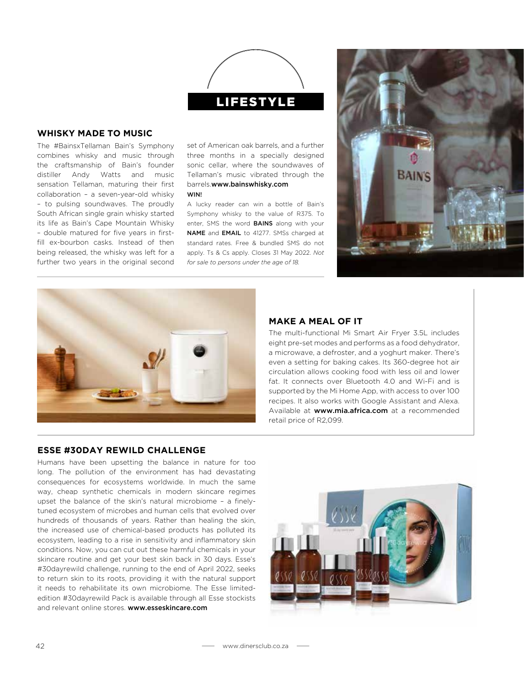

## **WHISKY MADE TO MUSIC**

The #BainsxTellaman Bain's Symphony combines whisky and music through the craftsmanship of Bain's founder distiller Andy Watts and music sensation Tellaman, maturing their first collaboration – a seven-year-old whisky – to pulsing soundwaves. The proudly South African single grain whisky started its life as Bain's Cape Mountain Whisky – double matured for five years in firstfill ex-bourbon casks. Instead of then being released, the whisky was left for a further two years in the original second

set of American oak barrels, and a further three months in a specially designed sonic cellar, where the soundwaves of Tellaman's music vibrated through the barrels.www.bainswhisky.com **WIN!** 

A lucky reader can win a bottle of Bain's Symphony whisky to the value of R375. To enter, SMS the word **BAINS** along with your NAME and EMAIL to 41277. SMSs charged at standard rates. Free & bundled SMS do not apply. Ts & Cs apply. Closes 31 May 2022. *Not for sale to persons under the age of 18.*





## **MAKE A MEAL OF IT**

The multi-functional Mi Smart Air Fryer 3.5L includes eight pre-set modes and performs as a food dehydrator, a microwave, a defroster, and a yoghurt maker. There's even a setting for baking cakes. Its 360-degree hot air circulation allows cooking food with less oil and lower fat. It connects over Bluetooth 4.0 and Wi-Fi and is supported by the Mi Home App, with access to over 100 recipes. It also works with Google Assistant and Alexa. Available at www.mia.africa.com at a recommended retail price of R2,099.

## **ESSE #30DAY REWILD CHALLENGE**

Humans have been upsetting the balance in nature for too long. The pollution of the environment has had devastating consequences for ecosystems worldwide. In much the same way, cheap synthetic chemicals in modern skincare regimes upset the balance of the skin's natural microbiome – a finelytuned ecosystem of microbes and human cells that evolved over hundreds of thousands of years. Rather than healing the skin, the increased use of chemical-based products has polluted its ecosystem, leading to a rise in sensitivity and inflammatory skin conditions. Now, you can cut out these harmful chemicals in your skincare routine and get your best skin back in 30 days. Esse's #30dayrewild challenge, running to the end of April 2022, seeks to return skin to its roots, providing it with the natural support it needs to rehabilitate its own microbiome. The Esse limitededition #30dayrewild Pack is available through all Esse stockists and relevant online stores. www.esseskincare.com